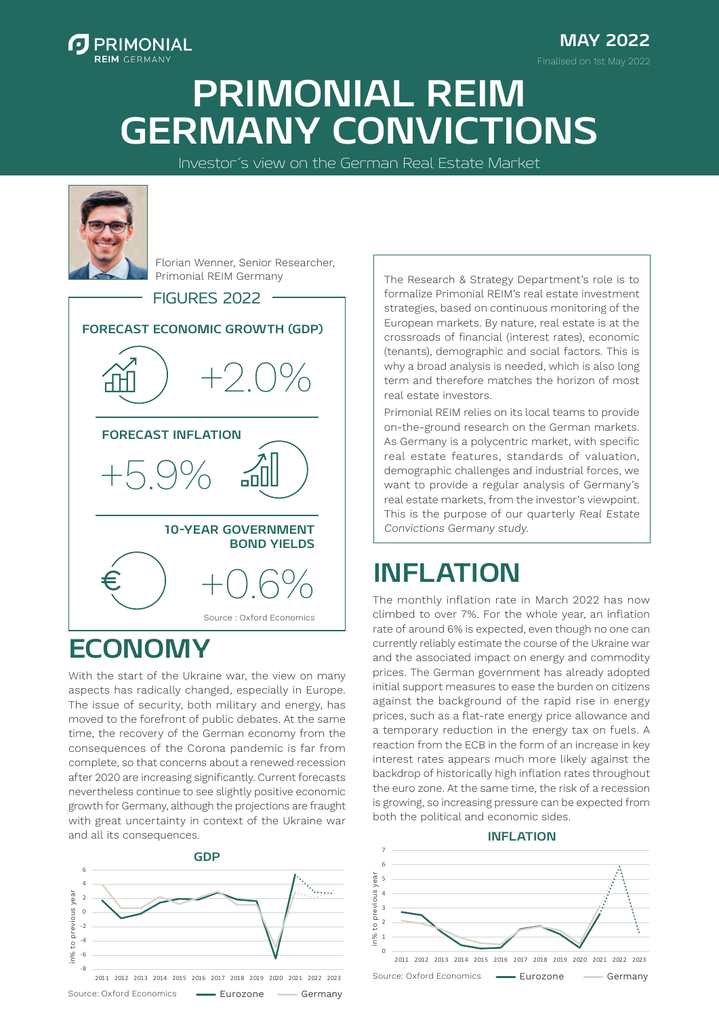

**MAY 2022** Finalised on 1st May 2022

# **PRIMONIAL REIM GERMANY CONVICTIONS**

Investor´s view on the German Real Estate Market



Florian Wenner, Senior Researcher, Primonial REIM Germany

**FORECAST ECONOMIC GROWTH (GDP) 10-YEAR GOVERNMENT BOND YIELDS FORECAST INFLATION** +2.0%  $+5.90$ +0.6% Source : Oxford Economics FIGURES 2022

### **ECONOMY**

With the start of the Ukraine war, the view on many aspects has radically changed, especially in Europe. The issue of security, both military and energy, has moved to the forefront of public debates. At the same time, the recovery of the German economy from the consequences of the Corona pandemic is far from complete, so that concerns about a renewed recession after 2020 are increasing significantly. Current forecasts nevertheless continue to see slightly positive economic growth for Germany, although the projections are fraught with great uncertainty in context of the Ukraine war and all its consequences.



The Research & Strategy Department's role is to formalize Primonial REIM's real estate investment strategies, based on continuous monitoring of the European markets. By nature, real estate is at the crossroads of financial (interest rates), economic (tenants), demographic and social factors. This is why a broad analysis is needed, which is also long term and therefore matches the horizon of most real estate investors.

Primonial REIM relies on its local teams to provide on-the-ground research on the German markets. As Germany is a polycentric market, with specific real estate features, standards of valuation, demographic challenges and industrial forces, we want to provide a regular analysis of Germany's real estate markets, from the investor's viewpoint. This is the purpose of our quarterly Real Estate Convictions Germany study.

### **INFLATION**

The monthly inflation rate in March 2022 has now climbed to over 7%. For the whole year, an inflation rate of around 6% is expected, even though no one can currently reliably estimate the course of the Ukraine war and the associated impact on energy and commodity prices. The German government has already adopted initial support measures to ease the burden on citizens against the background of the rapid rise in energy prices, such as a flat-rate energy price allowance and a temporary reduction in the energy tax on fuels. A reaction from the ECB in the form of an increase in key interest rates appears much more likely against the backdrop of historically high inflation rates throughout the euro zone. At the same time, the risk of a recession is growing, so increasing pressure can be expected from both the political and economic sides.

#### Inflation **INFLATION**

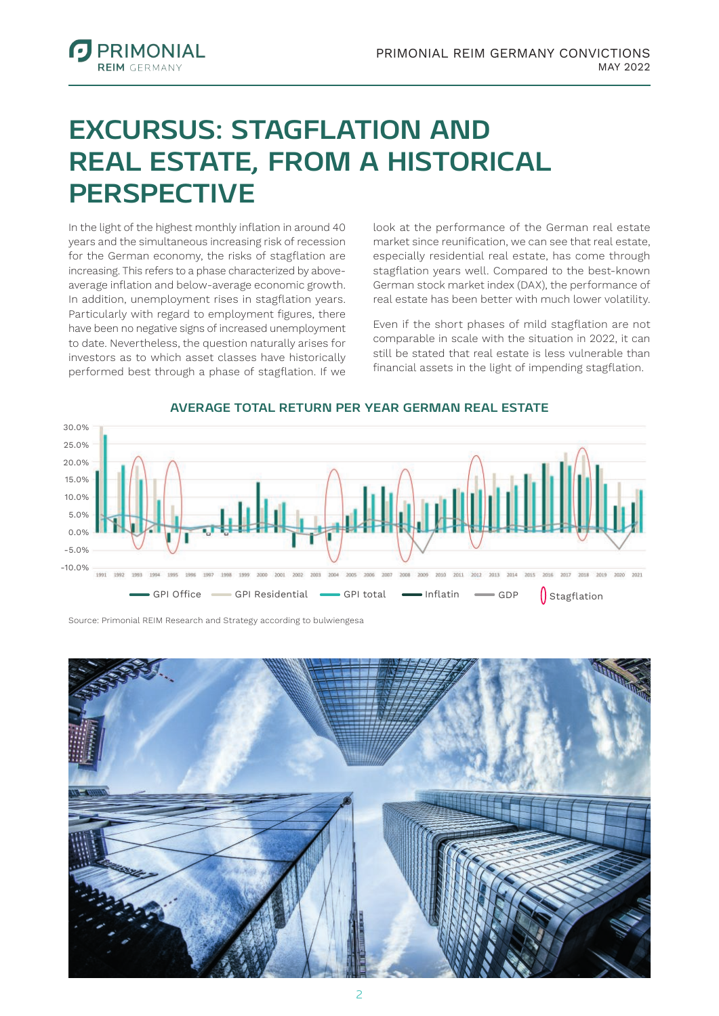### **EXCURSUS: STAGFLATION AND REAL ESTATE, FROM A HISTORICAL PERSPECTIVE**

In the light of the highest monthly inflation in around 40 years and the simultaneous increasing risk of recession for the German economy, the risks of stagflation are increasing. This refers to a phase characterized by aboveaverage inflation and below-average economic growth. In addition, unemployment rises in stagflation years. Particularly with regard to employment figures, there have been no negative signs of increased unemployment to date. Nevertheless, the question naturally arises for investors as to which asset classes have historically performed best through a phase of stagflation. If we

**PRIMONIAL DEIM CEDMAND** 

> look at the performance of the German real estate market since reunification, we can see that real estate, especially residential real estate, has come through stagflation years well. Compared to the best-known German stock market index (DAX), the performance of real estate has been better with much lower volatility.

> Even if the short phases of mild stagflation are not comparable in scale with the situation in 2022, it can still be stated that real estate is less vulnerable than financial assets in the light of impending stagflation.



#### **AVERAGE TOTAL RETURN PER YEAR GERMAN REAL ESTATE**

Source: Primonial REIM Research and Strategy according to bulwiengesa

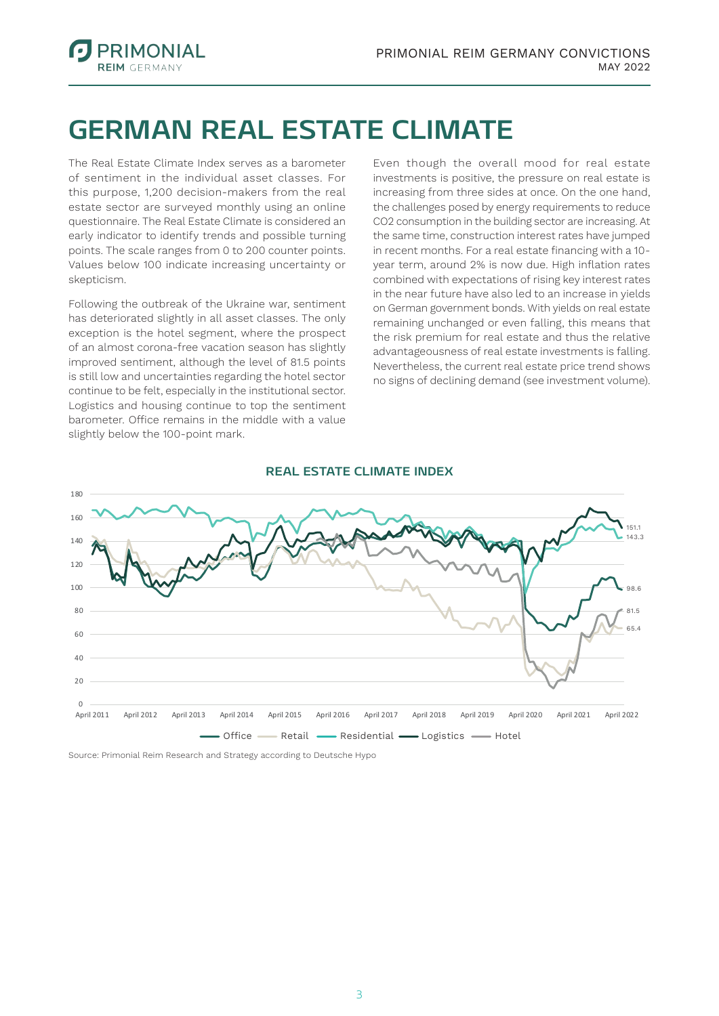

### **GERMAN REAL ESTATE CLIMATE**

The Real Estate Climate Index serves as a barometer of sentiment in the individual asset classes. For this purpose, 1,200 decision-makers from the real estate sector are surveyed monthly using an online questionnaire. The Real Estate Climate is considered an early indicator to identify trends and possible turning points. The scale ranges from 0 to 200 counter points. Values below 100 indicate increasing uncertainty or skepticism.

Following the outbreak of the Ukraine war, sentiment has deteriorated slightly in all asset classes. The only exception is the hotel segment, where the prospect of an almost corona-free vacation season has slightly improved sentiment, although the level of 81.5 points is still low and uncertainties regarding the hotel sector continue to be felt, especially in the institutional sector. Logistics and housing continue to top the sentiment barometer. Office remains in the middle with a value slightly below the 100-point mark.

Even though the overall mood for real estate investments is positive, the pressure on real estate is increasing from three sides at once. On the one hand, the challenges posed by energy requirements to reduce CO2 consumption in the building sector are increasing. At the same time, construction interest rates have jumped in recent months. For a real estate financing with a 10 year term, around 2% is now due. High inflation rates combined with expectations of rising key interest rates in the near future have also led to an increase in yields on German government bonds. With yields on real estate remaining unchanged or even falling, this means that the risk premium for real estate and thus the relative advantageousness of real estate investments is falling. Nevertheless, the current real estate price trend shows no signs of declining demand (see investment volume).



#### **REAL ESTATE CLIMATE INDEX**

Source: Primonial Reim Research and Strategy according to Deutsche Hypo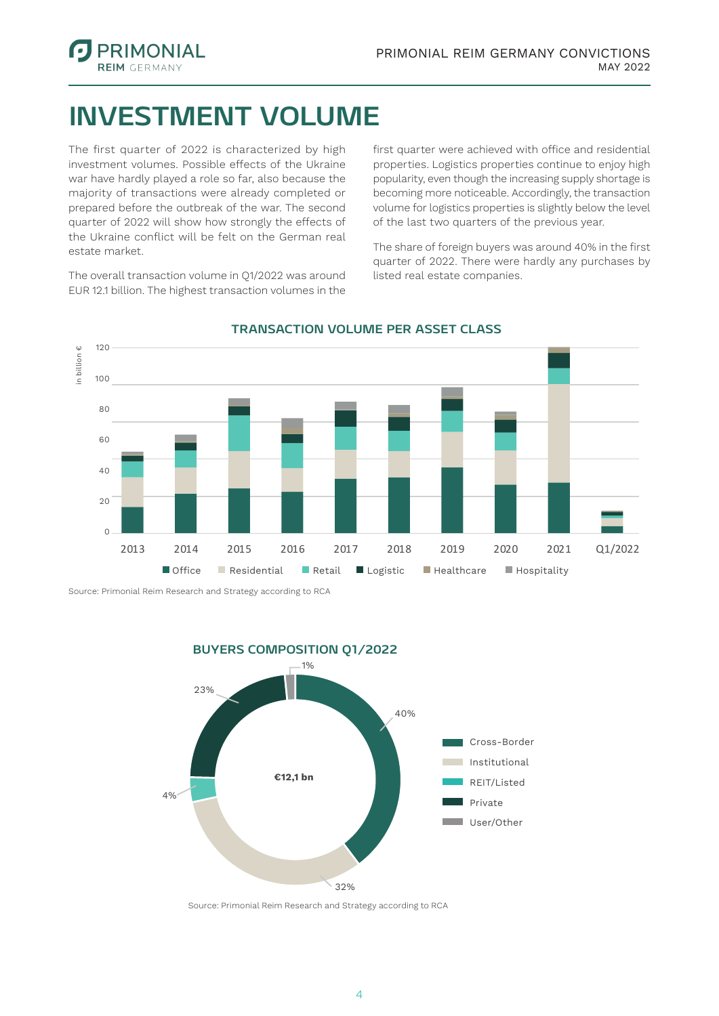

### **INVESTMENT VOLUME**

The first quarter of 2022 is characterized by high investment volumes. Possible effects of the Ukraine war have hardly played a role so far, also because the majority of transactions were already completed or prepared before the outbreak of the war. The second quarter of 2022 will show how strongly the effects of the Ukraine conflict will be felt on the German real estate market.

The overall transaction volume in Q1/2022 was around EUR 12.1 billion. The highest transaction volumes in the first quarter were achieved with office and residential properties. Logistics properties continue to enjoy high popularity, even though the increasing supply shortage is becoming more noticeable. Accordingly, the transaction volume for logistics properties is slightly below the level of the last two quarters of the previous year.

The share of foreign buyers was around 40% in the first quarter of 2022. There were hardly any purchases by listed real estate companies.



### **TRANSACTION VOLUME PER ASSET CLASS**

Source: Primonial Reim Research and Strategy according to RCA

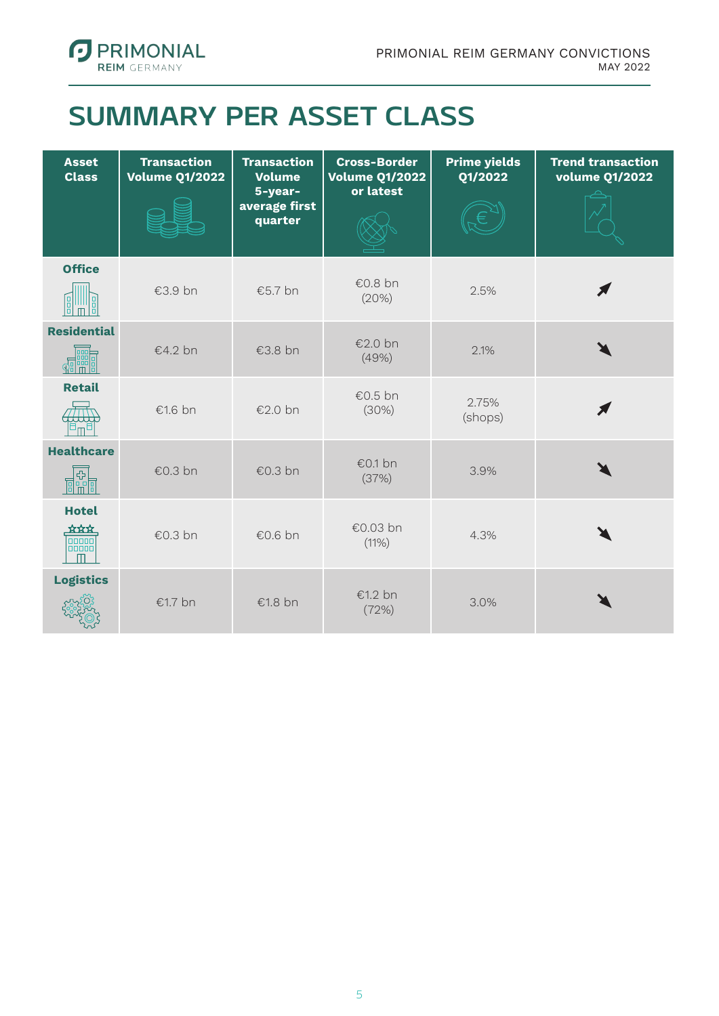

### **SUMMARY PER ASSET CLASS**

| <b>Asset</b><br><b>Class</b>                                                                                                                                                                                                                                                                                                                                                                                                      | <b>Transaction</b><br><b>Volume Q1/2022</b> | <b>Transaction</b><br><b>Volume</b><br>5-year-<br>average first<br>quarter | <b>Cross-Border</b><br><b>Volume Q1/2022</b><br>or latest | <b>Prime yields</b><br>Q1/2022 | <b>Trend transaction</b><br>volume Q1/2022 |
|-----------------------------------------------------------------------------------------------------------------------------------------------------------------------------------------------------------------------------------------------------------------------------------------------------------------------------------------------------------------------------------------------------------------------------------|---------------------------------------------|----------------------------------------------------------------------------|-----------------------------------------------------------|--------------------------------|--------------------------------------------|
| <b>Office</b><br>빏<br>88                                                                                                                                                                                                                                                                                                                                                                                                          | €3.9 bn                                     | €5.7 bn                                                                    | €0.8 bn<br>(20%)                                          | 2.5%                           |                                            |
| <b>Residential</b>                                                                                                                                                                                                                                                                                                                                                                                                                | €4.2 bn                                     | €3.8 bn                                                                    | €2.0 bn<br>(49%)                                          | 2.1%                           |                                            |
| <b>Retail</b>                                                                                                                                                                                                                                                                                                                                                                                                                     | €1.6 bn                                     | €2.0 bn                                                                    | €0.5 bn<br>(30%)                                          | 2.75%<br>(shops)               |                                            |
| <b>Healthcare</b><br>$\begin{tabular}{ c c } \hline \rule{0pt}{3ex} \rule{0pt}{3ex} \rule{0pt}{3ex} \rule{0pt}{3ex} \rule{0pt}{3ex} \rule{0pt}{3ex} \rule{0pt}{3ex} \rule{0pt}{3ex} \rule{0pt}{3ex} \rule{0pt}{3ex} \rule{0pt}{3ex} \rule{0pt}{3ex} \rule{0pt}{3ex} \rule{0pt}{3ex} \rule{0pt}{3ex} \rule{0pt}{3ex} \rule{0pt}{3ex} \rule{0pt}{3ex} \rule{0pt}{3ex} \rule{0pt}{3ex} \rule{0pt}{3ex} \rule{0pt}{3ex} \rule{0pt}{3$ | €0.3 bn                                     | €0.3 bn                                                                    | €0.1 bn<br>(37%)                                          | 3.9%                           |                                            |
| <b>Hotel</b><br>***<br>poopo<br>m                                                                                                                                                                                                                                                                                                                                                                                                 | €0.3 bn                                     | €0.6 bn                                                                    | €0.03 bn<br>(11%)                                         | 4.3%                           |                                            |
| <b>Logistics</b>                                                                                                                                                                                                                                                                                                                                                                                                                  | €1.7 bn                                     | €1.8 bn                                                                    | €1.2 bn<br>(72%)                                          | 3.0%                           |                                            |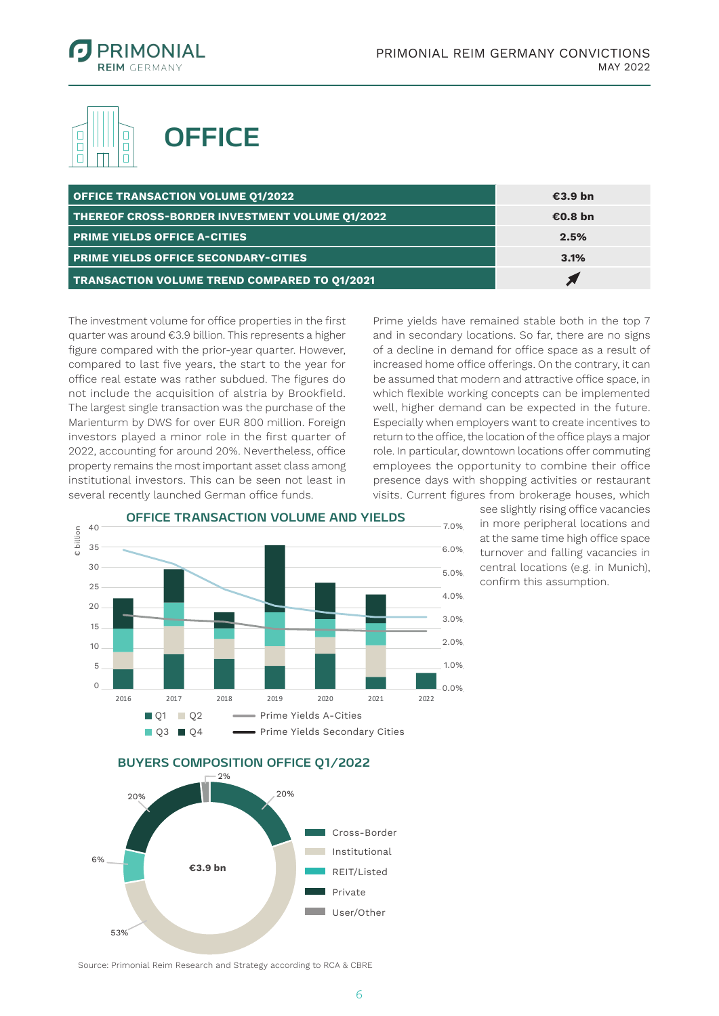

in Milliarden €

€ billion



| <b>OFFICE TRANSACTION VOLUME 01/2022</b>            | €3.9 bn |
|-----------------------------------------------------|---------|
| THEREOF CROSS-BORDER INVESTMENT VOLUME Q1/2022      | €0.8 bn |
| <b>PRIME YIELDS OFFICE A-CITIES</b>                 | 2.5%    |
| <b>PRIME YIELDS OFFICE SECONDARY-CITIES</b>         | 3.1%    |
| <b>TRANSACTION VOLUME TREND COMPARED TO 01/2021</b> |         |

The investment volume for office properties in the first quarter was around €3.9 billion. This represents a higher figure compared with the prior-year quarter. However, compared to last five years, the start to the year for office real estate was rather subdued. The figures do not include the acquisition of alstria by Brookfield. The largest single transaction was the purchase of the Marienturm by DWS for over EUR 800 million. Foreign investors played a minor role in the first quarter of 2022, accounting for around 20%. Nevertheless, office property remains the most important asset class among institutional investors. This can be seen not least in several recently launched German office funds.

Prime yields have remained stable both in the top 7 and in secondary locations. So far, there are no signs of a decline in demand for office space as a result of increased home office offerings. On the contrary, it can be assumed that modern and attractive office space, in which flexible working concepts can be implemented well, higher demand can be expected in the future. Especially when employers want to create incentives to return to the office, the location of the office plays a major role. In particular, downtown locations offer commuting employees the opportunity to combine their office presence days with shopping activities or restaurant visits. Current figures from brokerage houses, which

0,0% 0.0%1,0% 1.0% 2,0% 2.0% 3,0% 3.0% 4,0% 4.0% 5,0% 5.0% 6,0% 6.0% 7,0% 7.0% 15 15 20 20 25 25 30 30 35 35 40 40 2016 2017 2018 2019 2020 2021 2022 **OFFICE TRANSACTION VOLUME AND YIELDS Q1 Q2 Gaster Prime Yields A-Cities**  $1<sub>0</sub>$ 5  $\Omega$ Q1 Q2 Q3 Q4 Prime Yields Secondary Cities

see slightly rising office vacancies in more peripheral locations and at the same time high office space turnover and falling vacancies in central locations (e.g. in Munich), confirm this assumption.

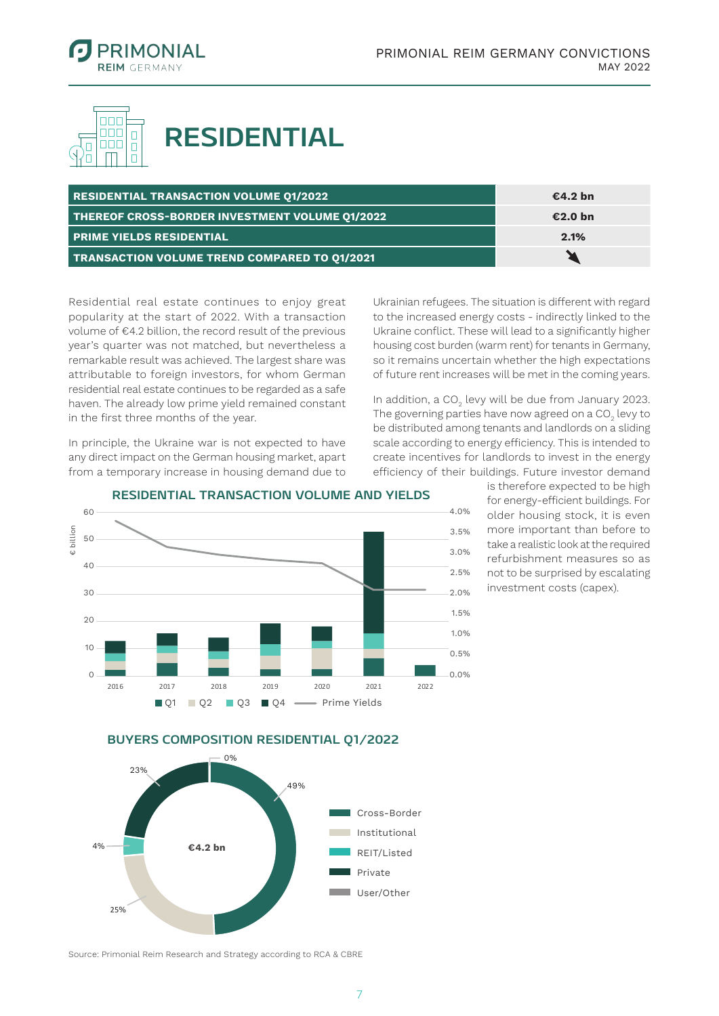



## **RESIDENTIAL**

| <b>RESIDENTIAL TRANSACTION VOLUME Q1/2022</b>       | €4.2 bn |
|-----------------------------------------------------|---------|
| THEREOF CROSS-BORDER INVESTMENT VOLUME Q1/2022      | €2.0 bn |
| <b>FRIME YIELDS RESIDENTIAL</b>                     | 2.1%    |
| <b>TRANSACTION VOLUME TREND COMPARED TO 01/2021</b> |         |

Residential real estate continues to enjoy great popularity at the start of 2022. With a transaction volume of €4.2 billion, the record result of the previous year's quarter was not matched, but nevertheless a remarkable result was achieved. The largest share was attributable to foreign investors, for whom German residential real estate continues to be regarded as a safe haven. The already low prime yield remained constant in the first three months of the year.

In principle, the Ukraine war is not expected to have any direct impact on the German housing market, apart from a temporary increase in housing demand due to

Ukrainian refugees. The situation is different with regard to the increased energy costs - indirectly linked to the Ukraine conflict. These will lead to a significantly higher housing cost burden (warm rent) for tenants in Germany, so it remains uncertain whether the high expectations of future rent increases will be met in the coming years.

In addition, a CO<sub>2</sub> levy will be due from January 2023. The governing parties have now agreed on a CO $_{_2}$  levy to be distributed among tenants and landlords on a sliding scale according to energy efficiency. This is intended to create incentives for landlords to invest in the energy efficiency of their buildings. Future investor demand



#### **RESIDENTIAL TRANSACTION VOLUME AND YIELDS**

is therefore expected to be high for energy-efficient buildings. For older housing stock, it is even more important than before to take a realistic look at the required refurbishment measures so as not to be surprised by escalating investment costs (capex).



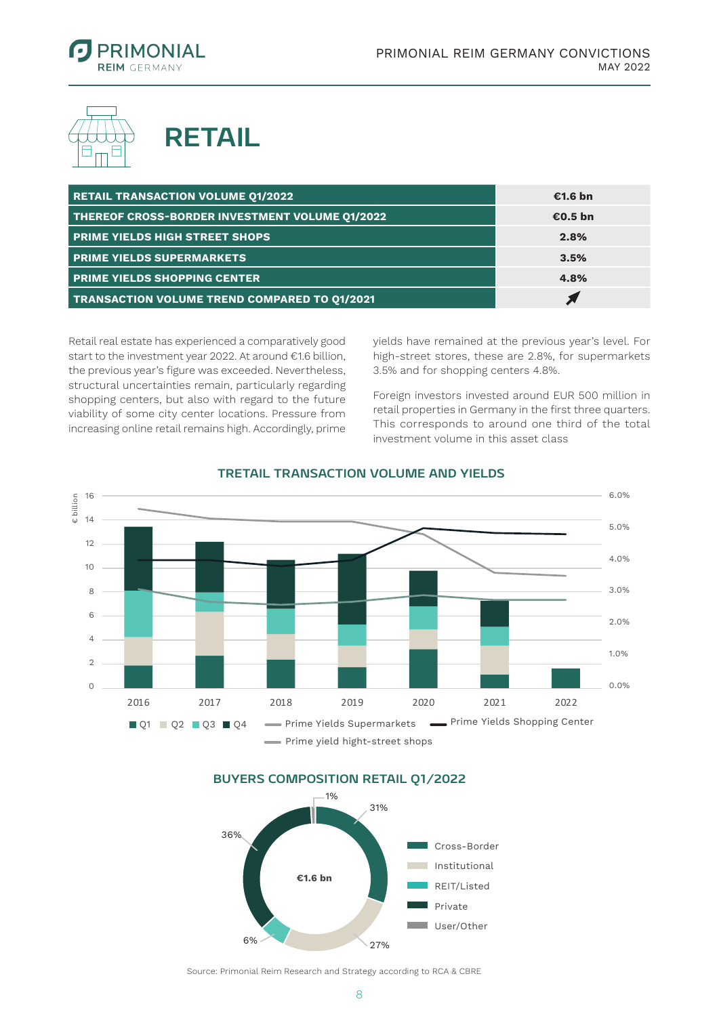





| <b>RETAIL TRANSACTION VOLUME 01/2022</b>            | €1.6 bn |
|-----------------------------------------------------|---------|
| THEREOF CROSS-BORDER INVESTMENT VOLUME Q1/2022      | €0.5 bn |
| <b>PRIME YIELDS HIGH STREET SHOPS</b>               | 2.8%    |
| <b>PRIME YIELDS SUPERMARKETS</b>                    | 3.5%    |
| <b>PRIME YIELDS SHOPPING CENTER</b>                 | 4.8%    |
| <b>TRANSACTION VOLUME TREND COMPARED TO Q1/2021</b> |         |

Retail real estate has experienced a comparatively good start to the investment year 2022. At around €1.6 billion, the previous year's figure was exceeded. Nevertheless, structural uncertainties remain, particularly regarding shopping centers, but also with regard to the future viability of some city center locations. Pressure from increasing online retail remains high. Accordingly, prime yields have remained at the previous year's level. For high-street stores, these are 2.8%, for supermarkets 3.5% and for shopping centers 4.8%.

Foreign investors invested around EUR 500 million in retail properties in Germany in the first three quarters. This corresponds to around one third of the total investment volume in this asset class



#### **TRETAIL TRANSACTION VOLUME AND YIELDS**

BUYERS COMPOSITION RETAIL Q1/2022

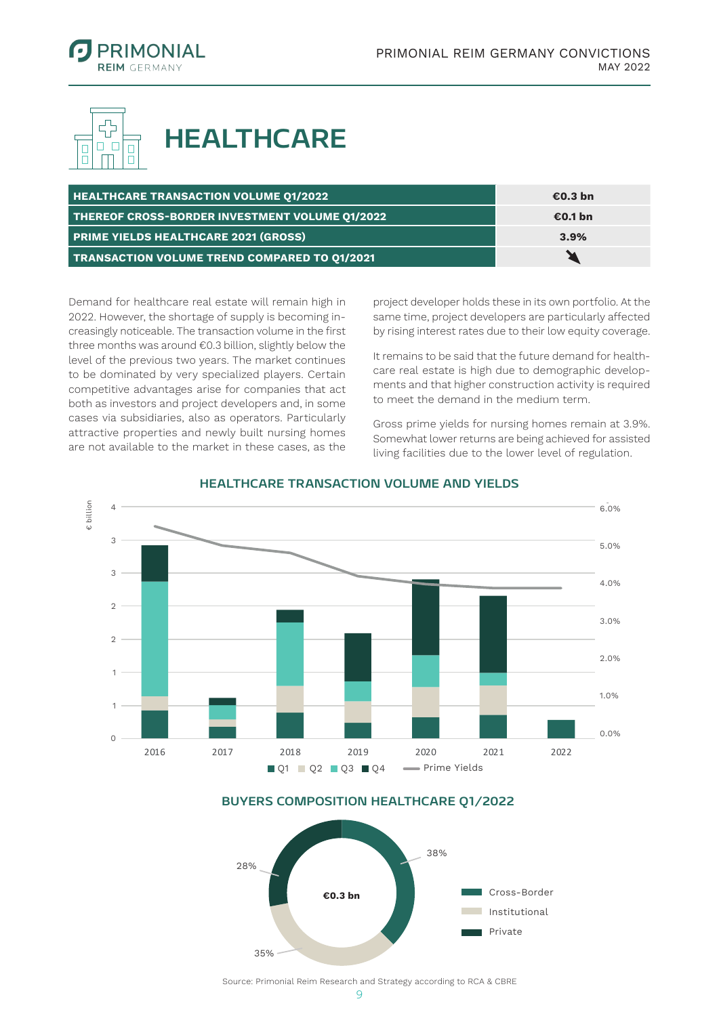



| <b>HEALTHCARE TRANSACTION VOLUME 01/2022</b>        | €0.3 bn |
|-----------------------------------------------------|---------|
| THEREOF CROSS-BORDER INVESTMENT VOLUME Q1/2022      | €0.1 bn |
| <b>PRIME YIELDS HEALTHCARE 2021 (GROSS)</b>         | 3.9%    |
| <b>TRANSACTION VOLUME TREND COMPARED TO 01/2021</b> |         |

Demand for healthcare real estate will remain high in 2022. However, the shortage of supply is becoming increasingly noticeable. The transaction volume in the first three months was around €0.3 billion, slightly below the level of the previous two years. The market continues to be dominated by very specialized players. Certain competitive advantages arise for companies that act both as investors and project developers and, in some cases via subsidiaries, also as operators. Particularly attractive properties and newly built nursing homes are not available to the market in these cases, as the

project developer holds these in its own portfolio. At the same time, project developers are particularly affected by rising interest rates due to their low equity coverage.

It remains to be said that the future demand for healthcare real estate is high due to demographic developments and that higher construction activity is required to meet the demand in the medium term.

Gross prime yields for nursing homes remain at 3.9%. Somewhat lower returns are being achieved for assisted living facilities due to the lower level of regulation.



#### HEALTHCARE TRANSACTION VOLUME AND YIELDS

#### BUYERS COMPOSITION HEALTHCARE Q1/2022

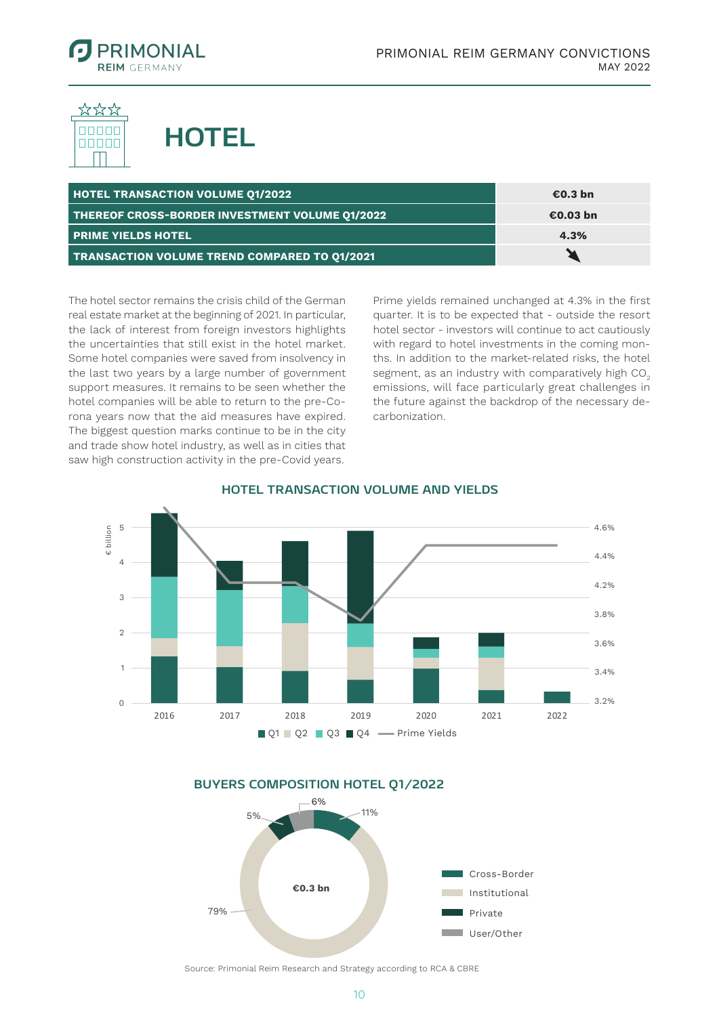

nnnnn nnnnn



| <b>HOTEL TRANSACTION VOLUME Q1/2022</b>             | €0.3 bn  |
|-----------------------------------------------------|----------|
| THEREOF CROSS-BORDER INVESTMENT VOLUME Q1/2022      | €0.03 bn |
| <b>PRIME YIELDS HOTEL</b>                           | 4.3%     |
| <b>TRANSACTION VOLUME TREND COMPARED TO 01/2021</b> |          |

The hotel sector remains the crisis child of the German real estate market at the beginning of 2021. In particular, the lack of interest from foreign investors highlights the uncertainties that still exist in the hotel market. Some hotel companies were saved from insolvency in the last two years by a large number of government support measures. It remains to be seen whether the hotel companies will be able to return to the pre-Corona years now that the aid measures have expired. The biggest question marks continue to be in the city and trade show hotel industry, as well as in cities that saw high construction activity in the pre-Covid years. Transportsvolumenten und Renditen Hotel et al.

Prime yields remained unchanged at 4.3% in the first quarter. It is to be expected that - outside the resort hotel sector - investors will continue to act cautiously with regard to hotel investments in the coming months. In addition to the market-related risks, the hotel segment, as an industry with comparatively high CO<sub>2</sub> emissions, will face particularly great challenges in the future against the backdrop of the necessary decarbonization.



#### **HOTEL TRANSACTION VOLUME AND YIELDS**



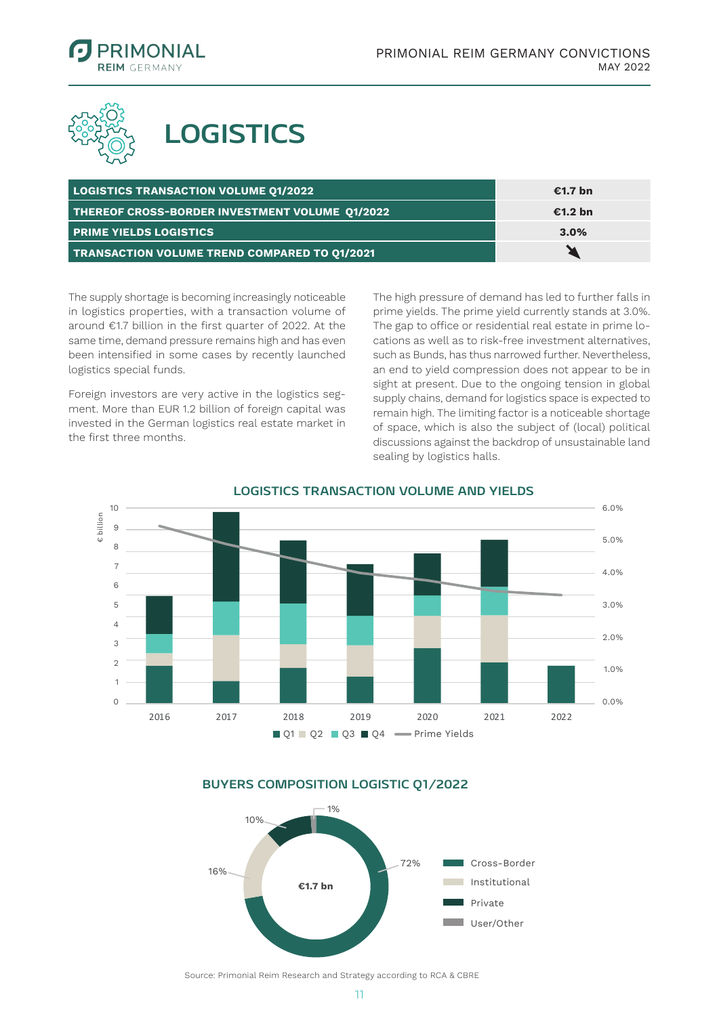



## **LOGISTICS**

| <b>LOGISTICS TRANSACTION VOLUME 01/2022</b>         | €1.7 bn |
|-----------------------------------------------------|---------|
| THEREOF CROSS-BORDER INVESTMENT VOLUME Q1/2022      | €1.2 bn |
| <b>PRIME YIELDS LOGISTICS</b>                       | 3.0%    |
| <b>TRANSACTION VOLUME TREND COMPARED TO 01/2021</b> |         |

The supply shortage is becoming increasingly noticeable in logistics properties, with a transaction volume of around €1.7 billion in the first quarter of 2022. At the same time, demand pressure remains high and has even been intensified in some cases by recently launched logistics special funds.

Foreign investors are very active in the logistics segment. More than EUR 1.2 billion of foreign capital was invested in the German logistics real estate market in the first three months.

The high pressure of demand has led to further falls in prime yields. The prime yield currently stands at 3.0%. The gap to office or residential real estate in prime locations as well as to risk-free investment alternatives, such as Bunds, has thus narrowed further. Nevertheless, an end to yield compression does not appear to be in sight at present. Due to the ongoing tension in global supply chains, demand for logistics space is expected to remain high. The limiting factor is a noticeable shortage of space, which is also the subject of (local) political discussions against the backdrop of unsustainable land sealing by logistics halls.



#### **LOGISTICS TRANSACTION VOLUME AND YIELDS**

**BUYERS COMPOSITION LOGISTIC Q1/2022**

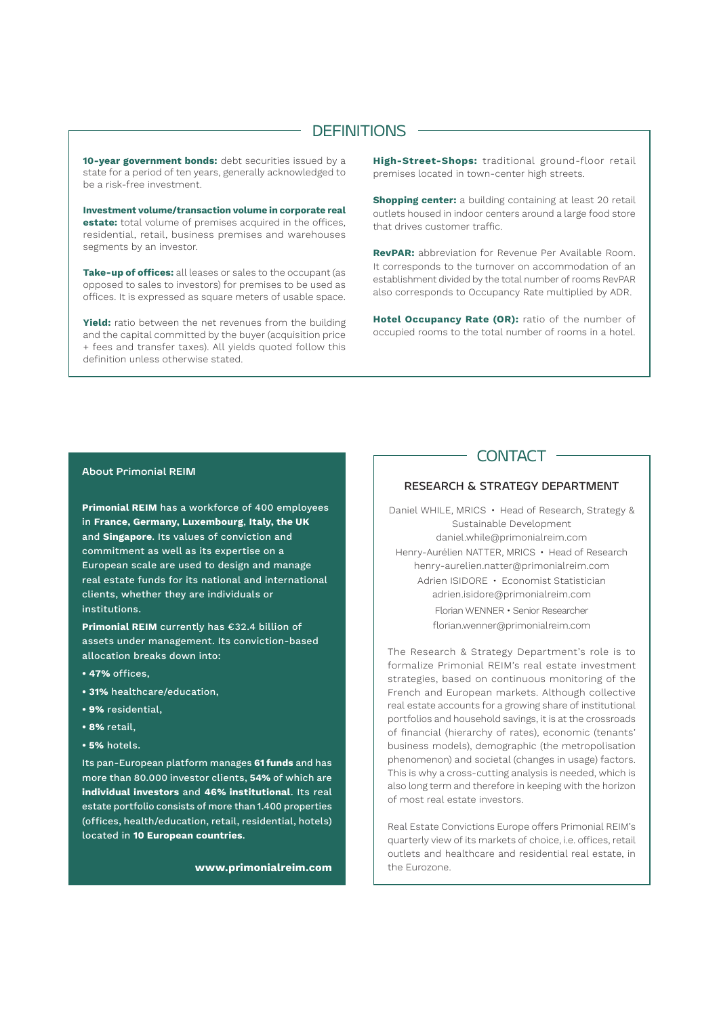#### **DEFINITIONS**

**10-year government bonds:** debt securities issued by a state for a period of ten years, generally acknowledged to be a risk-free investment.

**Investment volume/transaction volume in corporate real estate:** total volume of premises acquired in the offices, residential, retail, business premises and warehouses segments by an investor.

**Take-up of offices:** all leases or sales to the occupant (as opposed to sales to investors) for premises to be used as offices. It is expressed as square meters of usable space.

**Yield:** ratio between the net revenues from the building and the capital committed by the buyer (acquisition price + fees and transfer taxes). All yields quoted follow this definition unless otherwise stated.

**High-Street-Shops:** traditional ground-floor retail premises located in town-center high streets.

**Shopping center:** a building containing at least 20 retail outlets housed in indoor centers around a large food store that drives customer traffic.

**RevPAR:** abbreviation for Revenue Per Available Room. It corresponds to the turnover on accommodation of an establishment divided by the total number of rooms RevPAR also corresponds to Occupancy Rate multiplied by ADR.

**Hotel Occupancy Rate (OR):** ratio of the number of occupied rooms to the total number of rooms in a hotel.

#### **About Primonial REIM**

**Primonial REIM** has a workforce of 400 employees in **France, Germany, Luxembourg**, **Italy, the UK**  and **Singapore**. Its values of conviction and commitment as well as its expertise on a European scale are used to design and manage real estate funds for its national and international clients, whether they are individuals or institutions.

**Primonial REIM** currently has €32.4 billion of assets under management. Its conviction-based allocation breaks down into:

- **47%** offices,
- **31%** healthcare/education,
- **9%** residential,
- **8%** retail,
- **5%** hotels.

Its pan-European platform manages **61 funds** and has more than 80.000 investor clients, **54%** of which are **individual investors** and **46% institutional**. Its real estate portfolio consists of more than 1.400 properties (offices, health/education, retail, residential, hotels) located in **10 European countries**.

**www.primonialreim.com**

#### CONTACT ·

#### RESEARCH & STRATEGY DEPARTMENT

Daniel WHILE, MRICS • Head of Research, Strategy & Sustainable Development daniel.while@primonialreim.com Henry-Aurélien NATTER, MRICS • Head of Research henry-aurelien.natter@primonialreim.com Adrien ISIDORE • Economist Statistician adrien.isidore@primonialreim.com Florian WENNER • Senior Researcher florian.wenner@primonialreim.com

The Research & Strategy Department's role is to formalize Primonial REIM's real estate investment strategies, based on continuous monitoring of the French and European markets. Although collective real estate accounts for a growing share of institutional portfolios and household savings, it is at the crossroads of financial (hierarchy of rates), economic (tenants' business models), demographic (the metropolisation phenomenon) and societal (changes in usage) factors. This is why a cross-cutting analysis is needed, which is also long term and therefore in keeping with the horizon of most real estate investors.

Real Estate Convictions Europe offers Primonial REIM's quarterly view of its markets of choice, i.e. offices, retail outlets and healthcare and residential real estate, in the Eurozone.